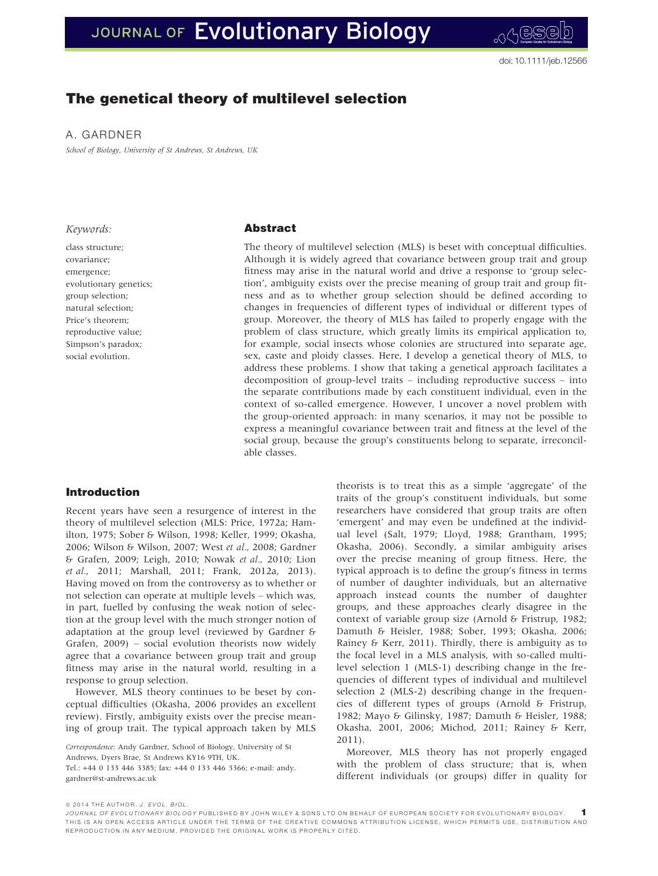# JOURNAL OF Evolutionary Biology

# The genetical theory of multilevel selection

A. GARDNER

School of Biology, University of St Andrews, St Andrews, UK

#### Keywords:

class structure; covariance; emergence; evolutionary genetics; group selection; natural selection; Price's theorem; reproductive value; Simpson's paradox; social evolution.

# Abstract

The theory of multilevel selection (MLS) is beset with conceptual difficulties. Although it is widely agreed that covariance between group trait and group fitness may arise in the natural world and drive a response to 'group selection', ambiguity exists over the precise meaning of group trait and group fitness and as to whether group selection should be defined according to changes in frequencies of different types of individual or different types of group. Moreover, the theory of MLS has failed to properly engage with the problem of class structure, which greatly limits its empirical application to, for example, social insects whose colonies are structured into separate age, sex, caste and ploidy classes. Here, I develop a genetical theory of MLS, to address these problems. I show that taking a genetical approach facilitates a decomposition of group-level traits – including reproductive success – into the separate contributions made by each constituent individual, even in the context of so-called emergence. However, I uncover a novel problem with the group-oriented approach: in many scenarios, it may not be possible to express a meaningful covariance between trait and fitness at the level of the social group, because the group's constituents belong to separate, irreconcilable classes.

# Introduction

Recent years have seen a resurgence of interest in the theory of multilevel selection (MLS: Price, 1972a; Hamilton, 1975; Sober & Wilson, 1998; Keller, 1999; Okasha, 2006; Wilson & Wilson, 2007; West et al., 2008; Gardner & Grafen, 2009; Leigh, 2010; Nowak et al., 2010; Lion et al., 2011; Marshall, 2011; Frank, 2012a, 2013). Having moved on from the controversy as to whether or not selection can operate at multiple levels – which was, in part, fuelled by confusing the weak notion of selection at the group level with the much stronger notion of adaptation at the group level (reviewed by Gardner & Grafen, 2009) – social evolution theorists now widely agree that a covariance between group trait and group fitness may arise in the natural world, resulting in a response to group selection.

However, MLS theory continues to be beset by conceptual difficulties (Okasha, 2006 provides an excellent review). Firstly, ambiguity exists over the precise meaning of group trait. The typical approach taken by MLS

Correspondence: Andy Gardner, School of Biology, University of St Andrews, Dyers Brae, St Andrews KY16 9TH, UK. Tel.: +44 0 133 446 3385; fax: +44 0 133 446 3366; e-mail: andy. gardner@st-andrews.ac.uk

theorists is to treat this as a simple 'aggregate' of the traits of the group's constituent individuals, but some researchers have considered that group traits are often 'emergent' and may even be undefined at the individual level (Salt, 1979; Lloyd, 1988; Grantham, 1995; Okasha, 2006). Secondly, a similar ambiguity arises over the precise meaning of group fitness. Here, the typical approach is to define the group's fitness in terms of number of daughter individuals, but an alternative approach instead counts the number of daughter groups, and these approaches clearly disagree in the context of variable group size (Arnold & Fristrup, 1982; Damuth & Heisler, 1988; Sober, 1993; Okasha, 2006; Rainey & Kerr, 2011). Thirdly, there is ambiguity as to the focal level in a MLS analysis, with so-called multilevel selection 1 (MLS-1) describing change in the frequencies of different types of individual and multilevel selection 2 (MLS-2) describing change in the frequencies of different types of groups (Arnold & Fristrup, 1982; Mayo & Gilinsky, 1987; Damuth & Heisler, 1988; Okasha, 2001, 2006; Michod, 2011; Rainey & Kerr, 2011).

Moreover, MLS theory has not properly engaged with the problem of class structure; that is, when different individuals (or groups) differ in quality for

© 2014 THE AUTHOR. J. EVOL. BIOL.

JOURNAL OF EVOLUTIONARY BIOLOGY PUBLISHED BY JOHN WILEY & SONS LTD ON BEHALF OF EUROPEAN SOCIETY FOR EVOLUTIONARY BIOLOGY. 1 THIS IS AN OPEN ACCESS ARTICLE UNDER THE TERMS OF THE CREATIVE COMMONS ATTRIBUTION LICENSE, WHICH PERMITS USE, DISTRIBUTION AND REPRODUCTION IN ANY MEDIUM, PROVIDED THE ORIGINAL WORK IS PROPERLY CITED.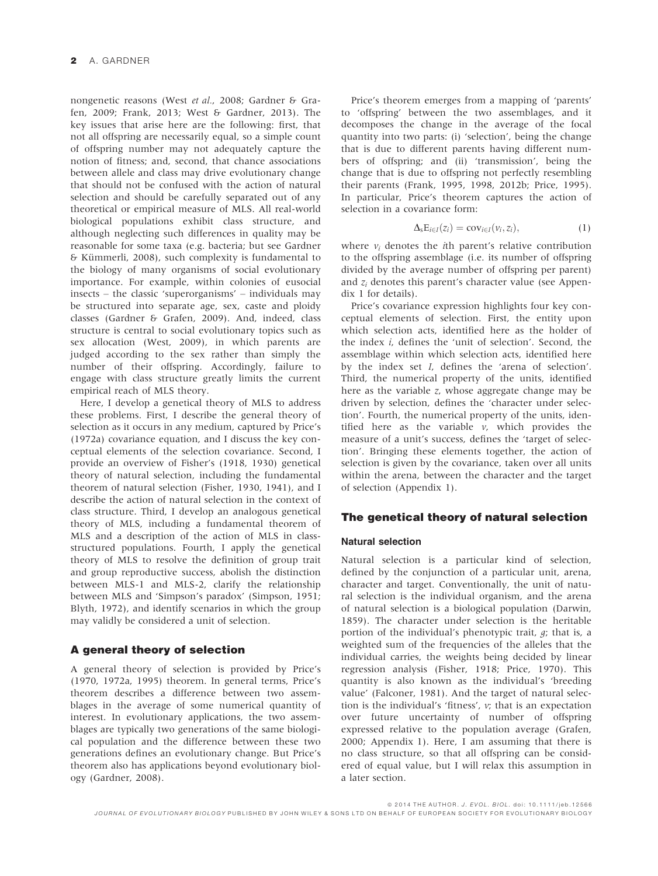nongenetic reasons (West et al., 2008; Gardner & Grafen, 2009; Frank, 2013; West & Gardner, 2013). The key issues that arise here are the following: first, that not all offspring are necessarily equal, so a simple count of offspring number may not adequately capture the notion of fitness; and, second, that chance associations between allele and class may drive evolutionary change that should not be confused with the action of natural selection and should be carefully separated out of any theoretical or empirical measure of MLS. All real-world biological populations exhibit class structure, and although neglecting such differences in quality may be reasonable for some taxa (e.g. bacteria; but see Gardner  $&$  Kümmerli, 2008), such complexity is fundamental to the biology of many organisms of social evolutionary importance. For example, within colonies of eusocial insects – the classic 'superorganisms' – individuals may be structured into separate age, sex, caste and ploidy classes (Gardner & Grafen, 2009). And, indeed, class structure is central to social evolutionary topics such as sex allocation (West, 2009), in which parents are judged according to the sex rather than simply the number of their offspring. Accordingly, failure to engage with class structure greatly limits the current empirical reach of MLS theory.

Here, I develop a genetical theory of MLS to address these problems. First, I describe the general theory of selection as it occurs in any medium, captured by Price's (1972a) covariance equation, and I discuss the key conceptual elements of the selection covariance. Second, I provide an overview of Fisher's (1918, 1930) genetical theory of natural selection, including the fundamental theorem of natural selection (Fisher, 1930, 1941), and I describe the action of natural selection in the context of class structure. Third, I develop an analogous genetical theory of MLS, including a fundamental theorem of MLS and a description of the action of MLS in classstructured populations. Fourth, I apply the genetical theory of MLS to resolve the definition of group trait and group reproductive success, abolish the distinction between MLS-1 and MLS-2, clarify the relationship between MLS and 'Simpson's paradox' (Simpson, 1951; Blyth, 1972), and identify scenarios in which the group may validly be considered a unit of selection.

#### A general theory of selection

A general theory of selection is provided by Price's (1970, 1972a, 1995) theorem. In general terms, Price's theorem describes a difference between two assemblages in the average of some numerical quantity of interest. In evolutionary applications, the two assemblages are typically two generations of the same biological population and the difference between these two generations defines an evolutionary change. But Price's theorem also has applications beyond evolutionary biology (Gardner, 2008).

Price's theorem emerges from a mapping of 'parents' to 'offspring' between the two assemblages, and it decomposes the change in the average of the focal quantity into two parts: (i) 'selection', being the change that is due to different parents having different numbers of offspring; and (ii) 'transmission', being the change that is due to offspring not perfectly resembling their parents (Frank, 1995, 1998, 2012b; Price, 1995). In particular, Price's theorem captures the action of selection in a covariance form:

$$
\Delta_{s}E_{i\in I}(z_{i})=\operatorname{cov}_{i\in I}(v_{i},z_{i}), \qquad (1)
$$

where  $v_i$  denotes the *i*th parent's relative contribution to the offspring assemblage (i.e. its number of offspring divided by the average number of offspring per parent) and  $z_i$  denotes this parent's character value (see Appendix 1 for details).

Price's covariance expression highlights four key conceptual elements of selection. First, the entity upon which selection acts, identified here as the holder of the index i, defines the 'unit of selection'. Second, the assemblage within which selection acts, identified here by the index set I, defines the 'arena of selection'. Third, the numerical property of the units, identified here as the variable z, whose aggregate change may be driven by selection, defines the 'character under selection'. Fourth, the numerical property of the units, identified here as the variable  $v$ , which provides the measure of a unit's success, defines the 'target of selection'. Bringing these elements together, the action of selection is given by the covariance, taken over all units within the arena, between the character and the target of selection (Appendix 1).

# The genetical theory of natural selection

## Natural selection

Natural selection is a particular kind of selection, defined by the conjunction of a particular unit, arena, character and target. Conventionally, the unit of natural selection is the individual organism, and the arena of natural selection is a biological population (Darwin, 1859). The character under selection is the heritable portion of the individual's phenotypic trait, g; that is, a weighted sum of the frequencies of the alleles that the individual carries, the weights being decided by linear regression analysis (Fisher, 1918; Price, 1970). This quantity is also known as the individual's 'breeding value' (Falconer, 1981). And the target of natural selection is the individual's 'fitness', v; that is an expectation over future uncertainty of number of offspring expressed relative to the population average (Grafen, 2000; Appendix 1). Here, I am assuming that there is no class structure, so that all offspring can be considered of equal value, but I will relax this assumption in a later section.

ª 2014 THE AUTHOR. J. EVOL. BIOL. doi: 10.1111/jeb.12566 JOURNAL OF EVOLUTIONARY BIOLOGY PUBLISHED BY JOHN WILEY & SONS LTD ON BEHALF OF EUROPEAN SOCIETY FOR EVOLUTIONARY BIOLOGY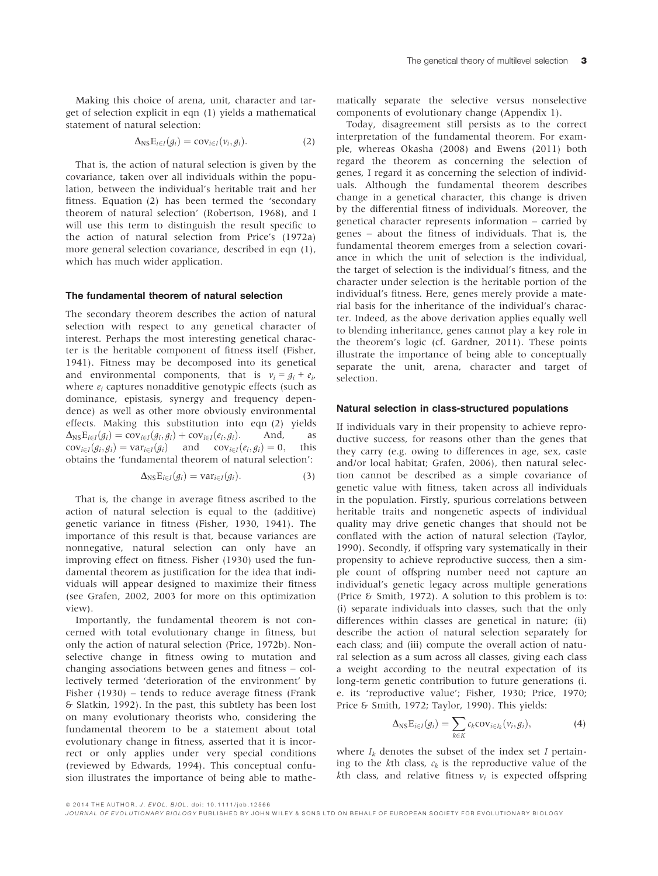Making this choice of arena, unit, character and target of selection explicit in eqn (1) yields a mathematical statement of natural selection:

$$
\Delta_{\text{NS}}\mathbf{E}_{i\in I}(g_i)=\text{cov}_{i\in I}(v_i,g_i). \hspace{1cm} (2)
$$

That is, the action of natural selection is given by the covariance, taken over all individuals within the population, between the individual's heritable trait and her fitness. Equation (2) has been termed the 'secondary theorem of natural selection' (Robertson, 1968), and I will use this term to distinguish the result specific to the action of natural selection from Price's (1972a) more general selection covariance, described in eqn (1), which has much wider application.

#### The fundamental theorem of natural selection

The secondary theorem describes the action of natural selection with respect to any genetical character of interest. Perhaps the most interesting genetical character is the heritable component of fitness itself (Fisher, 1941). Fitness may be decomposed into its genetical and environmental components, that is  $v_i = g_i + e_i$ , where  $e_i$  captures nonadditive genotypic effects (such as dominance, epistasis, synergy and frequency dependence) as well as other more obviously environmental effects. Making this substitution into eqn (2) yields  $\Delta_{\text{NS}} E_{i\in I}(g_i) = \text{cov}_{i\in I}(g_i, g_i) + \text{cov}_{i\in I}(e_i, g_i)$ . And, as  $\text{cov}_{i\in I}(g_i, g_i) = \text{var}_{i\in I}(g_i)$  and  $\text{cov}_{i\in I}(e_i, g_i) = 0$ , this  $cov_{i\in I}(g_i,g_i) = var_{i\in I}(g_i)$  and  $cov_{i\in I}(e_i,g_i) = 0$ , obtains the 'fundamental theorem of natural selection':

$$
\Delta_{\text{NS}}\mathbf{E}_{i\in I}(g_i) = \text{var}_{i\in I}(g_i). \tag{3}
$$

That is, the change in average fitness ascribed to the action of natural selection is equal to the (additive) genetic variance in fitness (Fisher, 1930, 1941). The importance of this result is that, because variances are nonnegative, natural selection can only have an improving effect on fitness. Fisher (1930) used the fundamental theorem as justification for the idea that individuals will appear designed to maximize their fitness (see Grafen, 2002, 2003 for more on this optimization view).

Importantly, the fundamental theorem is not concerned with total evolutionary change in fitness, but only the action of natural selection (Price, 1972b). Nonselective change in fitness owing to mutation and changing associations between genes and fitness – collectively termed 'deterioration of the environment' by Fisher (1930) – tends to reduce average fitness (Frank & Slatkin, 1992). In the past, this subtlety has been lost on many evolutionary theorists who, considering the fundamental theorem to be a statement about total evolutionary change in fitness, asserted that it is incorrect or only applies under very special conditions (reviewed by Edwards, 1994). This conceptual confusion illustrates the importance of being able to mathe-

matically separate the selective versus nonselective components of evolutionary change (Appendix 1).

Today, disagreement still persists as to the correct interpretation of the fundamental theorem. For example, whereas Okasha (2008) and Ewens (2011) both regard the theorem as concerning the selection of genes, I regard it as concerning the selection of individuals. Although the fundamental theorem describes change in a genetical character, this change is driven by the differential fitness of individuals. Moreover, the genetical character represents information – carried by genes – about the fitness of individuals. That is, the fundamental theorem emerges from a selection covariance in which the unit of selection is the individual, the target of selection is the individual's fitness, and the character under selection is the heritable portion of the individual's fitness. Here, genes merely provide a material basis for the inheritance of the individual's character. Indeed, as the above derivation applies equally well to blending inheritance, genes cannot play a key role in the theorem's logic (cf. Gardner, 2011). These points illustrate the importance of being able to conceptually separate the unit, arena, character and target of selection.

#### Natural selection in class-structured populations

If individuals vary in their propensity to achieve reproductive success, for reasons other than the genes that they carry (e.g. owing to differences in age, sex, caste and/or local habitat; Grafen, 2006), then natural selection cannot be described as a simple covariance of genetic value with fitness, taken across all individuals in the population. Firstly, spurious correlations between heritable traits and nongenetic aspects of individual quality may drive genetic changes that should not be conflated with the action of natural selection (Taylor, 1990). Secondly, if offspring vary systematically in their propensity to achieve reproductive success, then a simple count of offspring number need not capture an individual's genetic legacy across multiple generations (Price & Smith, 1972). A solution to this problem is to: (i) separate individuals into classes, such that the only differences within classes are genetical in nature; (ii) describe the action of natural selection separately for each class; and (iii) compute the overall action of natural selection as a sum across all classes, giving each class a weight according to the neutral expectation of its long-term genetic contribution to future generations (i. e. its 'reproductive value'; Fisher, 1930; Price, 1970; Price & Smith, 1972; Taylor, 1990). This yields:

$$
\Delta_{\text{NS}}\mathbf{E}_{i\in I}(g_i) = \sum_{k\in K} c_k \text{cov}_{i\in I_k}(v_i, g_i), \qquad (4)
$$

where  $I_k$  denotes the subset of the index set I pertaining to the kth class,  $c_k$  is the reproductive value of the kth class, and relative fitness  $v_i$  is expected offspring

ª 2014 THE AUTHOR. J. EVOL. BIOL. doi: 10.1111/jeb.12566

JOURNAL OF EVOLUTIONARY BIOLOGY PUBLISHED BY JOHN WILEY & SONS LTD ON BEHALF OF EUROPEAN SOCIETY FOR EVOLUTIONARY BIOLOGY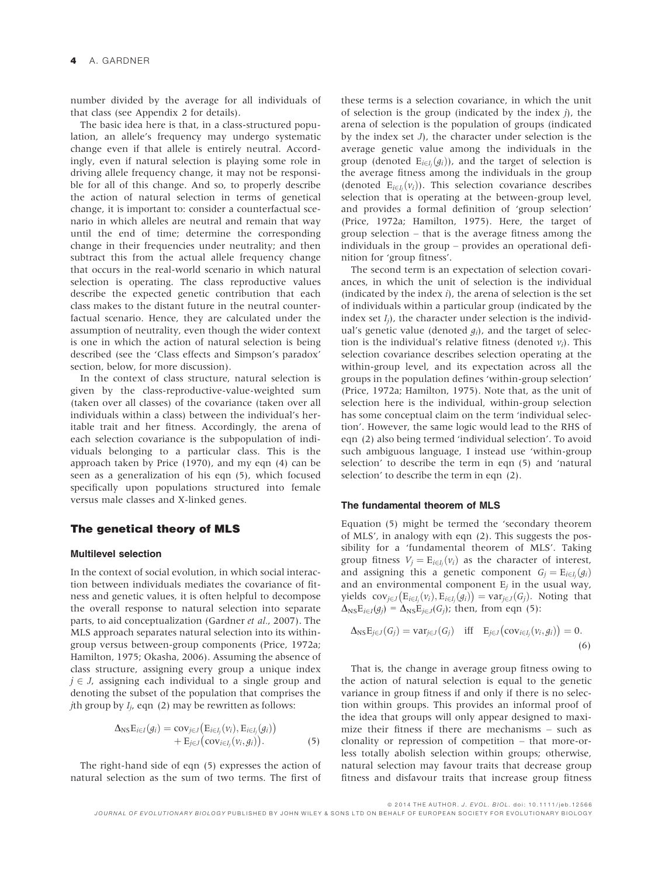number divided by the average for all individuals of that class (see Appendix 2 for details).

The basic idea here is that, in a class-structured population, an allele's frequency may undergo systematic change even if that allele is entirely neutral. Accordingly, even if natural selection is playing some role in driving allele frequency change, it may not be responsible for all of this change. And so, to properly describe the action of natural selection in terms of genetical change, it is important to: consider a counterfactual scenario in which alleles are neutral and remain that way until the end of time; determine the corresponding change in their frequencies under neutrality; and then subtract this from the actual allele frequency change that occurs in the real-world scenario in which natural selection is operating. The class reproductive values describe the expected genetic contribution that each class makes to the distant future in the neutral counterfactual scenario. Hence, they are calculated under the assumption of neutrality, even though the wider context is one in which the action of natural selection is being described (see the 'Class effects and Simpson's paradox' section, below, for more discussion).

In the context of class structure, natural selection is given by the class-reproductive-value-weighted sum (taken over all classes) of the covariance (taken over all individuals within a class) between the individual's heritable trait and her fitness. Accordingly, the arena of each selection covariance is the subpopulation of individuals belonging to a particular class. This is the approach taken by Price (1970), and my eqn (4) can be seen as a generalization of his eqn (5), which focused specifically upon populations structured into female versus male classes and X-linked genes.

## The genetical theory of MLS

#### Multilevel selection

In the context of social evolution, in which social interaction between individuals mediates the covariance of fitness and genetic values, it is often helpful to decompose the overall response to natural selection into separate parts, to aid conceptualization (Gardner et al., 2007). The MLS approach separates natural selection into its withingroup versus between-group components (Price, 1972a; Hamilton, 1975; Okasha, 2006). Assuming the absence of class structure, assigning every group a unique index  $j \in J$ , assigning each individual to a single group and denoting the subset of the population that comprises the *j*th group by  $I_i$ , eqn (2) may be rewritten as follows:

$$
\Delta_{\text{NS}}\mathbf{E}_{i\in I}(g_i) = \text{cov}_{j\in J}\big(\mathbf{E}_{i\in I_j}(v_i), \mathbf{E}_{i\in I_j}(g_i)\big) \n+ \mathbf{E}_{j\in J}\big(\text{cov}_{i\in I_j}(v_i, g_i)\big).
$$
\n(5)

The right-hand side of eqn (5) expresses the action of natural selection as the sum of two terms. The first of these terms is a selection covariance, in which the unit of selection is the group (indicated by the index  $j$ ), the arena of selection is the population of groups (indicated by the index set J), the character under selection is the average genetic value among the individuals in the group (denoted  $E_{i\in I_j}(g_i)$ ), and the target of selection is the average fitness among the individuals in the group (denoted  $E_{i \in I_j}(v_i)$ ). This selection covariance describes selection that is operating at the between-group level, and provides a formal definition of 'group selection' (Price, 1972a; Hamilton, 1975). Here, the target of group selection – that is the average fitness among the individuals in the group – provides an operational definition for 'group fitness'.

The second term is an expectation of selection covariances, in which the unit of selection is the individual (indicated by the index  $i$ ), the arena of selection is the set of individuals within a particular group (indicated by the index set  $I_i$ ), the character under selection is the individual's genetic value (denoted  $g_i$ ), and the target of selection is the individual's relative fitness (denoted  $v_i$ ). This selection covariance describes selection operating at the within-group level, and its expectation across all the groups in the population defines 'within-group selection' (Price, 1972a; Hamilton, 1975). Note that, as the unit of selection here is the individual, within-group selection has some conceptual claim on the term 'individual selection'. However, the same logic would lead to the RHS of eqn (2) also being termed 'individual selection'. To avoid such ambiguous language, I instead use 'within-group selection' to describe the term in eqn (5) and 'natural selection' to describe the term in eqn (2).

#### The fundamental theorem of MLS

Equation (5) might be termed the 'secondary theorem of MLS', in analogy with eqn (2). This suggests the possibility for a 'fundamental theorem of MLS'. Taking group fitness  $V_i = E_{i \in I_i}(v_i)$  as the character of interest, and assigning this a genetic component  $G_j = E_{i \in I_j}(g_i)$ and an environmental component  $E_i$  in the usual way, yields  $cov_{j\in J}(E_{i\in I_i}(v_i), E_{i\in I_i}(g_i)) = var_{j\in J}(G_j)$ . Noting that  $\Delta_{\text{NS}}E_{i\in I}(g_j) = \Delta_{\text{NS}}E_{j\in J}(G_j)$ ; then, from eqn (5):

$$
\Delta_{\text{NS}} E_{j\in J}(G_j) = \text{var}_{j\in J}(G_j) \quad \text{iff} \quad E_{j\in J}(\text{cov}_{i\in I_j}(v_i, g_i)) = 0. \tag{6}
$$

That is, the change in average group fitness owing to the action of natural selection is equal to the genetic variance in group fitness if and only if there is no selection within groups. This provides an informal proof of the idea that groups will only appear designed to maximize their fitness if there are mechanisms – such as clonality or repression of competition – that more-orless totally abolish selection within groups; otherwise, natural selection may favour traits that decrease group fitness and disfavour traits that increase group fitness

ª 2014 THE AUTHOR. J. EVOL. BIOL. doi: 10.1111/jeb.12566 JOURNAL OF EVOLUTIONARY BIOLOGY PUBLISHED BY JOHN WILEY & SONS LTD ON BEHALF OF EUROPEAN SOCIETY FOR EVOLUTIONARY BIOLOGY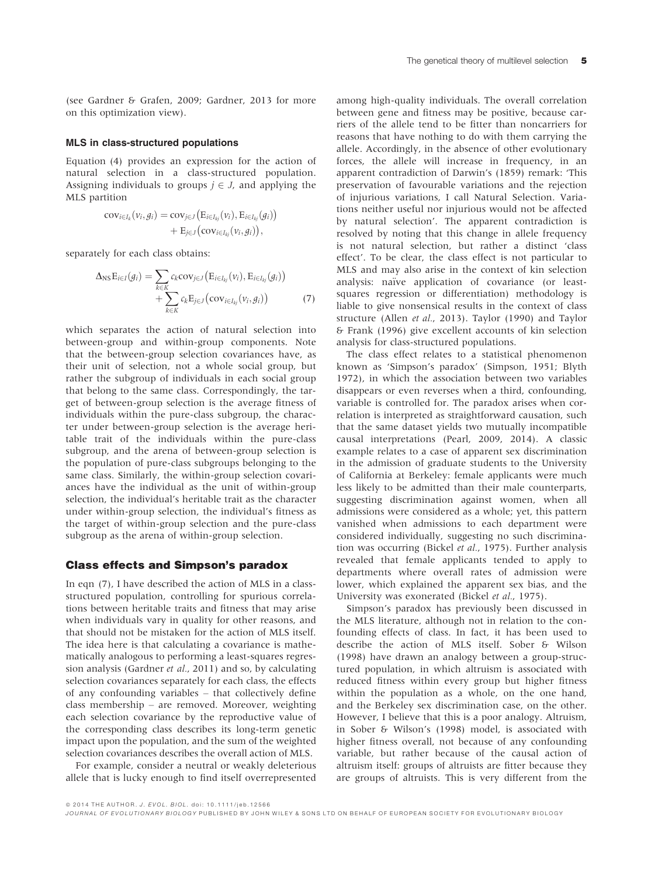(see Gardner & Grafen, 2009; Gardner, 2013 for more on this optimization view).

#### MLS in class-structured populations

Equation (4) provides an expression for the action of natural selection in a class-structured population. Assigning individuals to groups  $j \in J$ , and applying the MLS partition

$$
cov_{i\in I_k}(v_i,g_i) = cov_{j\in J}\big(E_{i\in I_{kj}}(v_i), E_{i\in I_{kj}}(g_i)\big) + E_{j\in J}\big(cov_{i\in I_{kj}}(v_i,g_i)\big),
$$

separately for each class obtains:

$$
\Delta_{\text{NS}}E_{i\in I}(g_i) = \sum_{k\in K} c_k \text{cov}_{j\in J} (E_{i\in I_{kj}}(v_i), E_{i\in I_{kj}}(g_i)) + \sum_{k\in K} c_k E_{j\in J} (\text{cov}_{i\in I_{kj}}(v_i, g_i))
$$
(7)

which separates the action of natural selection into between-group and within-group components. Note that the between-group selection covariances have, as their unit of selection, not a whole social group, but rather the subgroup of individuals in each social group that belong to the same class. Correspondingly, the target of between-group selection is the average fitness of individuals within the pure-class subgroup, the character under between-group selection is the average heritable trait of the individuals within the pure-class subgroup, and the arena of between-group selection is the population of pure-class subgroups belonging to the same class. Similarly, the within-group selection covariances have the individual as the unit of within-group selection, the individual's heritable trait as the character under within-group selection, the individual's fitness as the target of within-group selection and the pure-class subgroup as the arena of within-group selection.

#### Class effects and Simpson's paradox

In eqn (7), I have described the action of MLS in a classstructured population, controlling for spurious correlations between heritable traits and fitness that may arise when individuals vary in quality for other reasons, and that should not be mistaken for the action of MLS itself. The idea here is that calculating a covariance is mathematically analogous to performing a least-squares regression analysis (Gardner et al., 2011) and so, by calculating selection covariances separately for each class, the effects of any confounding variables – that collectively define class membership – are removed. Moreover, weighting each selection covariance by the reproductive value of the corresponding class describes its long-term genetic impact upon the population, and the sum of the weighted selection covariances describes the overall action of MLS.

For example, consider a neutral or weakly deleterious allele that is lucky enough to find itself overrepresented among high-quality individuals. The overall correlation between gene and fitness may be positive, because carriers of the allele tend to be fitter than noncarriers for reasons that have nothing to do with them carrying the allele. Accordingly, in the absence of other evolutionary forces, the allele will increase in frequency, in an apparent contradiction of Darwin's (1859) remark: 'This preservation of favourable variations and the rejection of injurious variations, I call Natural Selection. Variations neither useful nor injurious would not be affected by natural selection'. The apparent contradiction is resolved by noting that this change in allele frequency is not natural selection, but rather a distinct 'class effect'. To be clear, the class effect is not particular to MLS and may also arise in the context of kin selection analysis: naïve application of covariance (or leastsquares regression or differentiation) methodology is liable to give nonsensical results in the context of class structure (Allen et al., 2013). Taylor (1990) and Taylor & Frank (1996) give excellent accounts of kin selection analysis for class-structured populations.

The class effect relates to a statistical phenomenon known as 'Simpson's paradox' (Simpson, 1951; Blyth 1972), in which the association between two variables disappears or even reverses when a third, confounding, variable is controlled for. The paradox arises when correlation is interpreted as straightforward causation, such that the same dataset yields two mutually incompatible causal interpretations (Pearl, 2009, 2014). A classic example relates to a case of apparent sex discrimination in the admission of graduate students to the University of California at Berkeley: female applicants were much less likely to be admitted than their male counterparts, suggesting discrimination against women, when all admissions were considered as a whole; yet, this pattern vanished when admissions to each department were considered individually, suggesting no such discrimination was occurring (Bickel et al., 1975). Further analysis revealed that female applicants tended to apply to departments where overall rates of admission were lower, which explained the apparent sex bias, and the University was exonerated (Bickel et al., 1975).

Simpson's paradox has previously been discussed in the MLS literature, although not in relation to the confounding effects of class. In fact, it has been used to describe the action of MLS itself. Sober & Wilson (1998) have drawn an analogy between a group-structured population, in which altruism is associated with reduced fitness within every group but higher fitness within the population as a whole, on the one hand, and the Berkeley sex discrimination case, on the other. However, I believe that this is a poor analogy. Altruism, in Sober & Wilson's (1998) model, is associated with higher fitness overall, not because of any confounding variable, but rather because of the causal action of altruism itself: groups of altruists are fitter because they are groups of altruists. This is very different from the

ª 2014 THE AUTHOR. J. EVOL. BIOL. doi: 10.1111/jeb.12566

JOURNAL OF EVOLUTIONARY BIOLOGY PUBLISHED BY JOHN WILEY & SONS LTD ON BEHALF OF EUROPEAN SOCIETY FOR EVOLUTIONARY BIOLOGY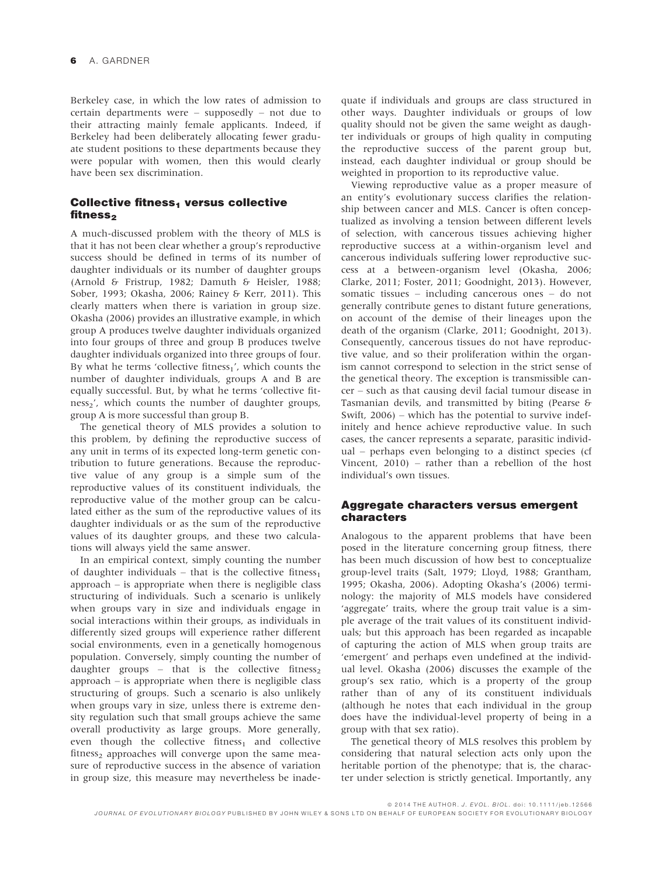Berkeley case, in which the low rates of admission to certain departments were – supposedly – not due to their attracting mainly female applicants. Indeed, if Berkeley had been deliberately allocating fewer graduate student positions to these departments because they were popular with women, then this would clearly have been sex discrimination.

### Collective fitness, versus collective fitness,

A much-discussed problem with the theory of MLS is that it has not been clear whether a group's reproductive success should be defined in terms of its number of daughter individuals or its number of daughter groups (Arnold & Fristrup, 1982; Damuth & Heisler, 1988; Sober, 1993; Okasha, 2006; Rainey & Kerr, 2011). This clearly matters when there is variation in group size. Okasha (2006) provides an illustrative example, in which group A produces twelve daughter individuals organized into four groups of three and group B produces twelve daughter individuals organized into three groups of four. By what he terms 'collective fitness $_1$ ', which counts the number of daughter individuals, groups A and B are equally successful. But, by what he terms 'collective fitness<sub>2</sub>', which counts the number of daughter groups, group A is more successful than group B.

The genetical theory of MLS provides a solution to this problem, by defining the reproductive success of any unit in terms of its expected long-term genetic contribution to future generations. Because the reproductive value of any group is a simple sum of the reproductive values of its constituent individuals, the reproductive value of the mother group can be calculated either as the sum of the reproductive values of its daughter individuals or as the sum of the reproductive values of its daughter groups, and these two calculations will always yield the same answer.

In an empirical context, simply counting the number of daughter individuals – that is the collective fitness<sub>1</sub> approach – is appropriate when there is negligible class structuring of individuals. Such a scenario is unlikely when groups vary in size and individuals engage in social interactions within their groups, as individuals in differently sized groups will experience rather different social environments, even in a genetically homogenous population. Conversely, simply counting the number of daughter groups – that is the collective fitness<sub>2</sub> approach – is appropriate when there is negligible class structuring of groups. Such a scenario is also unlikely when groups vary in size, unless there is extreme density regulation such that small groups achieve the same overall productivity as large groups. More generally, even though the collective fitness $<sub>1</sub>$  and collective</sub>  $fitness_2$  approaches will converge upon the same measure of reproductive success in the absence of variation in group size, this measure may nevertheless be inadequate if individuals and groups are class structured in other ways. Daughter individuals or groups of low quality should not be given the same weight as daughter individuals or groups of high quality in computing the reproductive success of the parent group but, instead, each daughter individual or group should be weighted in proportion to its reproductive value.

Viewing reproductive value as a proper measure of an entity's evolutionary success clarifies the relationship between cancer and MLS. Cancer is often conceptualized as involving a tension between different levels of selection, with cancerous tissues achieving higher reproductive success at a within-organism level and cancerous individuals suffering lower reproductive success at a between-organism level (Okasha, 2006; Clarke, 2011; Foster, 2011; Goodnight, 2013). However, somatic tissues – including cancerous ones – do not generally contribute genes to distant future generations, on account of the demise of their lineages upon the death of the organism (Clarke, 2011; Goodnight, 2013). Consequently, cancerous tissues do not have reproductive value, and so their proliferation within the organism cannot correspond to selection in the strict sense of the genetical theory. The exception is transmissible cancer – such as that causing devil facial tumour disease in Tasmanian devils, and transmitted by biting (Pearse & Swift, 2006) – which has the potential to survive indefinitely and hence achieve reproductive value. In such cases, the cancer represents a separate, parasitic individual – perhaps even belonging to a distinct species (cf Vincent, 2010) – rather than a rebellion of the host individual's own tissues.

# Aggregate characters versus emergent characters

Analogous to the apparent problems that have been posed in the literature concerning group fitness, there has been much discussion of how best to conceptualize group-level traits (Salt, 1979; Lloyd, 1988; Grantham, 1995; Okasha, 2006). Adopting Okasha's (2006) terminology: the majority of MLS models have considered 'aggregate' traits, where the group trait value is a simple average of the trait values of its constituent individuals; but this approach has been regarded as incapable of capturing the action of MLS when group traits are 'emergent' and perhaps even undefined at the individual level. Okasha (2006) discusses the example of the group's sex ratio, which is a property of the group rather than of any of its constituent individuals (although he notes that each individual in the group does have the individual-level property of being in a group with that sex ratio).

The genetical theory of MLS resolves this problem by considering that natural selection acts only upon the heritable portion of the phenotype; that is, the character under selection is strictly genetical. Importantly, any

ª 2014 THE AUTHOR. J. EVOL. BIOL. doi: 10.1111/jeb.12566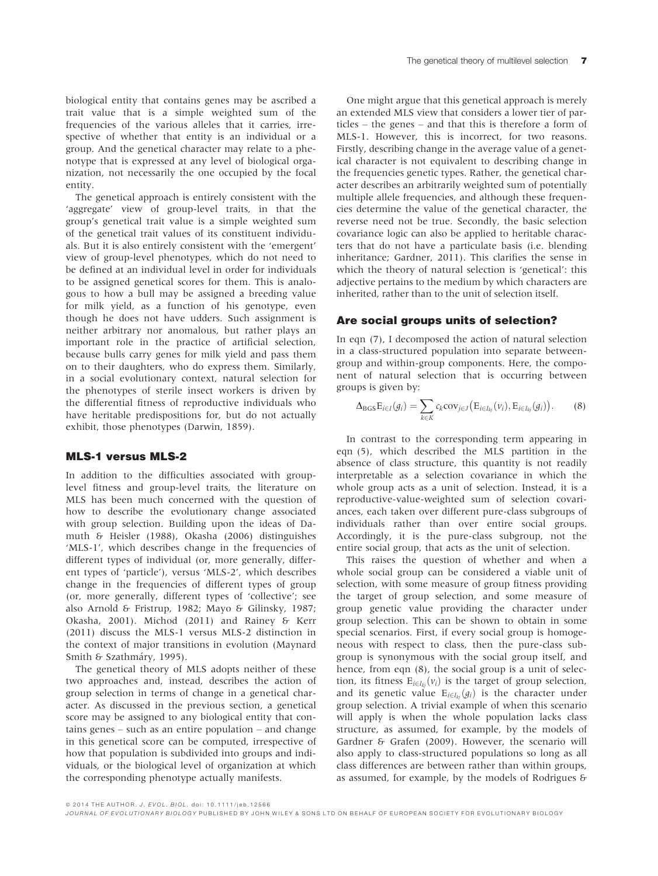biological entity that contains genes may be ascribed a trait value that is a simple weighted sum of the frequencies of the various alleles that it carries, irrespective of whether that entity is an individual or a group. And the genetical character may relate to a phenotype that is expressed at any level of biological organization, not necessarily the one occupied by the focal entity.

The genetical approach is entirely consistent with the 'aggregate' view of group-level traits, in that the group's genetical trait value is a simple weighted sum of the genetical trait values of its constituent individuals. But it is also entirely consistent with the 'emergent' view of group-level phenotypes, which do not need to be defined at an individual level in order for individuals to be assigned genetical scores for them. This is analogous to how a bull may be assigned a breeding value for milk yield, as a function of his genotype, even though he does not have udders. Such assignment is neither arbitrary nor anomalous, but rather plays an important role in the practice of artificial selection, because bulls carry genes for milk yield and pass them on to their daughters, who do express them. Similarly, in a social evolutionary context, natural selection for the phenotypes of sterile insect workers is driven by the differential fitness of reproductive individuals who have heritable predispositions for, but do not actually exhibit, those phenotypes (Darwin, 1859).

## MLS-1 versus MLS-2

In addition to the difficulties associated with grouplevel fitness and group-level traits, the literature on MLS has been much concerned with the question of how to describe the evolutionary change associated with group selection. Building upon the ideas of Damuth & Heisler (1988), Okasha (2006) distinguishes 'MLS-1', which describes change in the frequencies of different types of individual (or, more generally, different types of 'particle'), versus 'MLS-2', which describes change in the frequencies of different types of group (or, more generally, different types of 'collective'; see also Arnold & Fristrup, 1982; Mayo & Gilinsky, 1987; Okasha, 2001). Michod (2011) and Rainey & Kerr (2011) discuss the MLS-1 versus MLS-2 distinction in the context of major transitions in evolution (Maynard Smith & Szathmáry, 1995).

The genetical theory of MLS adopts neither of these two approaches and, instead, describes the action of group selection in terms of change in a genetical character. As discussed in the previous section, a genetical score may be assigned to any biological entity that contains genes – such as an entire population – and change in this genetical score can be computed, irrespective of how that population is subdivided into groups and individuals, or the biological level of organization at which the corresponding phenotype actually manifests.

One might argue that this genetical approach is merely an extended MLS view that considers a lower tier of particles – the genes – and that this is therefore a form of MLS-1. However, this is incorrect, for two reasons. Firstly, describing change in the average value of a genetical character is not equivalent to describing change in the frequencies genetic types. Rather, the genetical character describes an arbitrarily weighted sum of potentially multiple allele frequencies, and although these frequencies determine the value of the genetical character, the reverse need not be true. Secondly, the basic selection covariance logic can also be applied to heritable characters that do not have a particulate basis (i.e. blending inheritance; Gardner, 2011). This clarifies the sense in which the theory of natural selection is 'genetical': this adjective pertains to the medium by which characters are inherited, rather than to the unit of selection itself.

#### Are social groups units of selection?

In eqn (7), I decomposed the action of natural selection in a class-structured population into separate betweengroup and within-group components. Here, the component of natural selection that is occurring between groups is given by:

$$
\Delta_{\mathrm{BGS}}\mathrm{E}_{i\in I}(g_i)=\sum_{k\in K}c_k\mathrm{cov}_{j\in J}\big(\mathrm{E}_{i\in I_{kj}}(v_i),\mathrm{E}_{i\in I_{kj}}(g_i)\big).
$$
 (8)

In contrast to the corresponding term appearing in eqn (5), which described the MLS partition in the absence of class structure, this quantity is not readily interpretable as a selection covariance in which the whole group acts as a unit of selection. Instead, it is a reproductive-value-weighted sum of selection covariances, each taken over different pure-class subgroups of individuals rather than over entire social groups. Accordingly, it is the pure-class subgroup, not the entire social group, that acts as the unit of selection.

This raises the question of whether and when a whole social group can be considered a viable unit of selection, with some measure of group fitness providing the target of group selection, and some measure of group genetic value providing the character under group selection. This can be shown to obtain in some special scenarios. First, if every social group is homogeneous with respect to class, then the pure-class subgroup is synonymous with the social group itself, and hence, from eqn (8), the social group is a unit of selection, its fitness  $E_{i\in I_{kj}}(v_i)$  is the target of group selection, and its genetic value  $E_{i\in I_{ki}}(g_i)$  is the character under group selection. A trivial example of when this scenario will apply is when the whole population lacks class structure, as assumed, for example, by the models of Gardner & Grafen (2009). However, the scenario will also apply to class-structured populations so long as all class differences are between rather than within groups, as assumed, for example, by the models of Rodrigues &

ª 2014 THE AUTHOR. J. EVOL. BIOL. doi: 10.1111/jeb.12566

JOURNAL OF EVOLUTIONARY BIOLOGY PUBLISHED BY JOHN WILEY & SONS LTD ON BEHALF OF EUROPEAN SOCIETY FOR EVOLUTIONARY BIOLOGY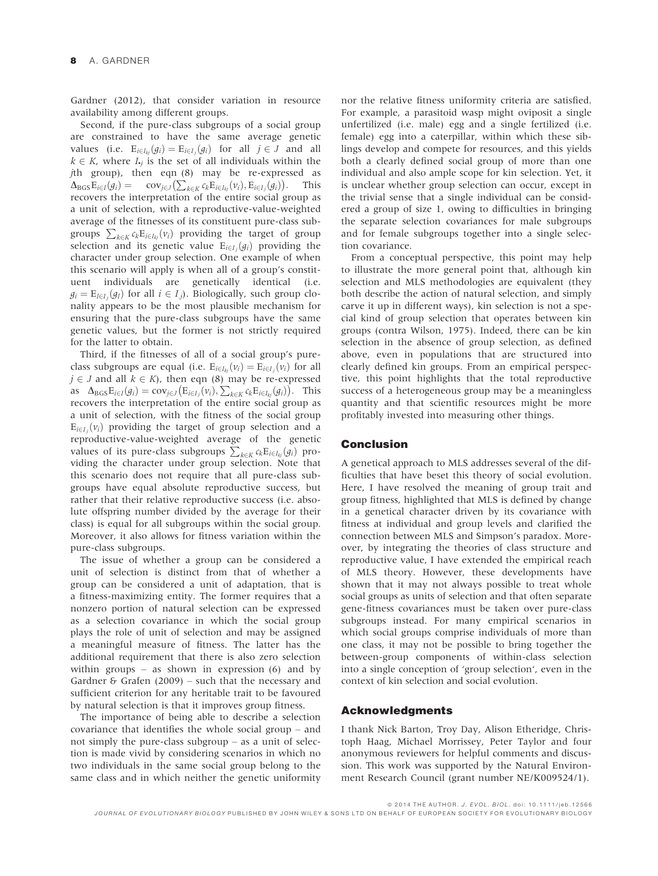Gardner (2012), that consider variation in resource availability among different groups.

Second, if the pure-class subgroups of a social group are constrained to have the same average genetic values (i.e.  $E_{i\in I_{kj}}(g_i) = E_{i\in I_j}(g_i)$  for all  $j \in J$  and all  $k \in K$ , where  $I_{\bullet j}$  is the set of all individuals within the jth group), then eqn (8) may be re-expressed as  $\Delta_{\text{BGS}} E_{i \in I}(g_i) = \text{cov}_{j \in J}(\sum_{k \in K} c_k E_{i \in I_{kj}}(v_i), E_{i \in I_{j}}(g_i)).$  This recovers the interpretation of the entire social group as a unit of selection, with a reproductive-value-weighted average of the fitnesses of its constituent pure-class subgroups  $\sum_{k \in K} c_k \mathbf{E}_{i \in I_{kj}}(v_i)$  providing the target of group selection and its genetic value  $E_{i\in I_j}(g_i)$  providing the character under group selection. One example of when this scenario will apply is when all of a group's constituent individuals are genetically identical (i.e.  $g_i = \mathrm{E}_{l \in I_j}(g_l)$  for all  $i \in I_j$ ). Biologically, such group clonality appears to be the most plausible mechanism for ensuring that the pure-class subgroups have the same genetic values, but the former is not strictly required for the latter to obtain.

Third, if the fitnesses of all of a social group's pureclass subgroups are equal (i.e.  $E_{i\in I_{kj}}(v_i) = E_{i\in I_j}(v_i)$  for all  $j \in J$  and all  $k \in K$ ), then eqn (8) may be re-expressed as  $\Delta_{\text{BGS}} E_{i\in I}(g_i) = \text{cov}_{j\in J}(\text{E}_{i\in I_j}(v_i), \sum_{k\in K} c_k \text{E}_{i\in I_{kj}}(g_i)).$  This recovers the interpretation of the entire social group as a unit of selection, with the fitness of the social group  $E_{i\in I_j}(v_i)$  providing the target of group selection and a reproductive-value-weighted average of the genetic values of its pure-class subgroups  $\sum_{k \in K} c_k \mathbb{E}_{i \in I_{kj}}(g_i)$  providing the character under group selection. Note that this scenario does not require that all pure-class subgroups have equal absolute reproductive success, but rather that their relative reproductive success (i.e. absolute offspring number divided by the average for their class) is equal for all subgroups within the social group. Moreover, it also allows for fitness variation within the pure-class subgroups.

The issue of whether a group can be considered a unit of selection is distinct from that of whether a group can be considered a unit of adaptation, that is a fitness-maximizing entity. The former requires that a nonzero portion of natural selection can be expressed as a selection covariance in which the social group plays the role of unit of selection and may be assigned a meaningful measure of fitness. The latter has the additional requirement that there is also zero selection within groups – as shown in expression  $(6)$  and by Gardner & Grafen  $(2009)$  – such that the necessary and sufficient criterion for any heritable trait to be favoured by natural selection is that it improves group fitness.

The importance of being able to describe a selection covariance that identifies the whole social group – and not simply the pure-class subgroup – as a unit of selection is made vivid by considering scenarios in which no two individuals in the same social group belong to the same class and in which neither the genetic uniformity nor the relative fitness uniformity criteria are satisfied. For example, a parasitoid wasp might oviposit a single unfertilized (i.e. male) egg and a single fertilized (i.e. female) egg into a caterpillar, within which these siblings develop and compete for resources, and this yields both a clearly defined social group of more than one individual and also ample scope for kin selection. Yet, it is unclear whether group selection can occur, except in the trivial sense that a single individual can be considered a group of size 1, owing to difficulties in bringing the separate selection covariances for male subgroups and for female subgroups together into a single selection covariance.

From a conceptual perspective, this point may help to illustrate the more general point that, although kin selection and MLS methodologies are equivalent (they both describe the action of natural selection, and simply carve it up in different ways), kin selection is not a special kind of group selection that operates between kin groups (contra Wilson, 1975). Indeed, there can be kin selection in the absence of group selection, as defined above, even in populations that are structured into clearly defined kin groups. From an empirical perspective, this point highlights that the total reproductive success of a heterogeneous group may be a meaningless quantity and that scientific resources might be more profitably invested into measuring other things.

#### Conclusion

A genetical approach to MLS addresses several of the difficulties that have beset this theory of social evolution. Here, I have resolved the meaning of group trait and group fitness, highlighted that MLS is defined by change in a genetical character driven by its covariance with fitness at individual and group levels and clarified the connection between MLS and Simpson's paradox. Moreover, by integrating the theories of class structure and reproductive value, I have extended the empirical reach of MLS theory. However, these developments have shown that it may not always possible to treat whole social groups as units of selection and that often separate gene-fitness covariances must be taken over pure-class subgroups instead. For many empirical scenarios in which social groups comprise individuals of more than one class, it may not be possible to bring together the between-group components of within-class selection into a single conception of 'group selection', even in the context of kin selection and social evolution.

#### Acknowledgments

I thank Nick Barton, Troy Day, Alison Etheridge, Christoph Haag, Michael Morrissey, Peter Taylor and four anonymous reviewers for helpful comments and discussion. This work was supported by the Natural Environment Research Council (grant number NE/K009524/1).

ª 2014 THE AUTHOR. J. EVOL. BIOL. doi: 10.1111/jeb.12566 JOURNAL OF EVOLUTIONARY BIOLOGY PUBLISHED BY JOHN WILEY & SONS LTD ON BEHALF OF EUROPEAN SOCIETY FOR EVOLUTIONARY BIOLOGY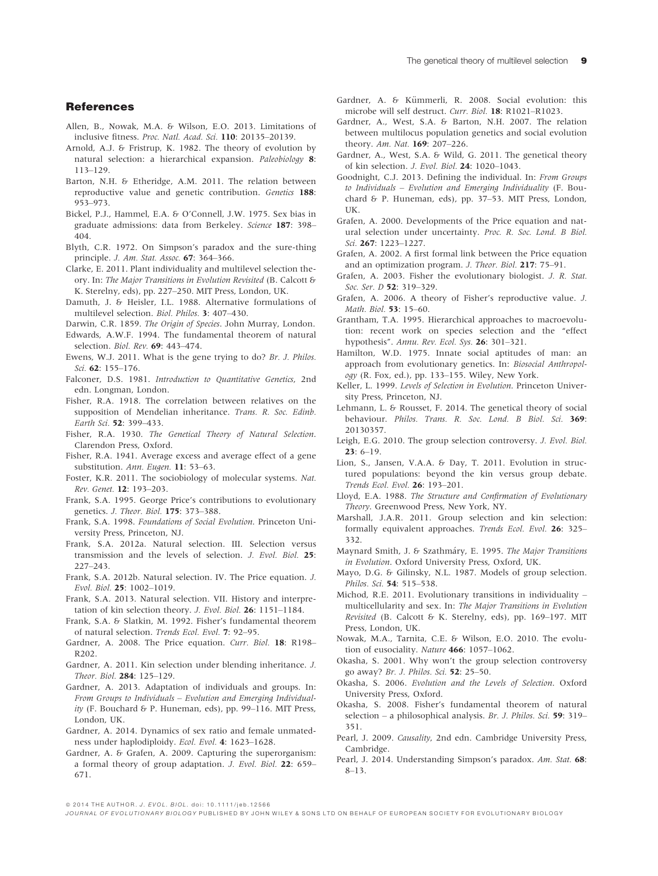#### **References**

- Allen, B., Nowak, M.A. & Wilson, E.O. 2013. Limitations of inclusive fitness. Proc. Natl. Acad. Sci. 110: 20135–20139.
- Arnold, A.J. & Fristrup, K. 1982. The theory of evolution by natural selection: a hierarchical expansion. Paleobiology 8: 113–129.
- Barton, N.H. & Etheridge, A.M. 2011. The relation between reproductive value and genetic contribution. Genetics 188: 953–973.
- Bickel, P.J., Hammel, E.A. & O'Connell, J.W. 1975. Sex bias in graduate admissions: data from Berkeley. Science 187: 398– 404.
- Blyth, C.R. 1972. On Simpson's paradox and the sure-thing principle. J. Am. Stat. Assoc. 67: 364-366.
- Clarke, E. 2011. Plant individuality and multilevel selection theory. In: The Major Transitions in Evolution Revisited (B. Calcott & K. Sterelny, eds), pp. 227–250. MIT Press, London, UK.
- Damuth, J. & Heisler, I.L. 1988. Alternative formulations of multilevel selection. Biol. Philos. 3: 407–430.
- Darwin, C.R. 1859. The Origin of Species. John Murray, London.
- Edwards, A.W.F. 1994. The fundamental theorem of natural selection. Biol. Rev. 69: 443–474.
- Ewens, W.J. 2011. What is the gene trying to do? Br. J. Philos. Sci. 62: 155-176.
- Falconer, D.S. 1981. Introduction to Quantitative Genetics, 2nd edn. Longman, London.
- Fisher, R.A. 1918. The correlation between relatives on the supposition of Mendelian inheritance. Trans. R. Soc. Edinb. Earth Sci. 52: 399–433.
- Fisher, R.A. 1930. The Genetical Theory of Natural Selection. Clarendon Press, Oxford.
- Fisher, R.A. 1941. Average excess and average effect of a gene substitution. Ann. Eugen. 11: 53-63.
- Foster, K.R. 2011. The sociobiology of molecular systems. Nat. Rev. Genet. 12: 193–203.
- Frank, S.A. 1995. George Price's contributions to evolutionary genetics. J. Theor. Biol. 175: 373–388.
- Frank, S.A. 1998. Foundations of Social Evolution. Princeton University Press, Princeton, NJ.
- Frank, S.A. 2012a. Natural selection. III. Selection versus transmission and the levels of selection. J. Evol. Biol. 25: 227–243.
- Frank, S.A. 2012b. Natural selection. IV. The Price equation. J. Evol. Biol. 25: 1002–1019.
- Frank, S.A. 2013. Natural selection. VII. History and interpretation of kin selection theory. J. Evol. Biol. 26: 1151–1184.
- Frank, S.A. & Slatkin, M. 1992. Fisher's fundamental theorem of natural selection. Trends Ecol. Evol. 7: 92–95.
- Gardner, A. 2008. The Price equation. Curr. Biol. 18: R198– R202.
- Gardner, A. 2011. Kin selection under blending inheritance. J. Theor. Biol. 284: 125–129.
- Gardner, A. 2013. Adaptation of individuals and groups. In: From Groups to Individuals – Evolution and Emerging Individuality (F. Bouchard & P. Huneman, eds), pp. 99–116. MIT Press, London, UK.
- Gardner, A. 2014. Dynamics of sex ratio and female unmatedness under haplodiploidy. Ecol. Evol. 4: 1623–1628.
- Gardner, A. & Grafen, A. 2009. Capturing the superorganism: a formal theory of group adaptation. J. Evol. Biol. 22: 659– 671.
- Gardner, A. & Kümmerli, R. 2008. Social evolution: this microbe will self destruct. Curr. Biol. 18: R1021–R1023.
- Gardner, A., West, S.A. & Barton, N.H. 2007. The relation between multilocus population genetics and social evolution theory. Am. Nat. 169: 207–226.
- Gardner, A., West, S.A. & Wild, G. 2011. The genetical theory of kin selection. J. Evol. Biol. 24: 1020–1043.
- Goodnight, C.J. 2013. Defining the individual. In: From Groups to Individuals – Evolution and Emerging Individuality (F. Bouchard & P. Huneman, eds), pp. 37–53. MIT Press, London, UK.
- Grafen, A. 2000. Developments of the Price equation and natural selection under uncertainty. Proc. R. Soc. Lond. B Biol. Sci. 267: 1223–1227.
- Grafen, A. 2002. A first formal link between the Price equation and an optimization program. J. Theor. Biol. 217: 75–91.
- Grafen, A. 2003. Fisher the evolutionary biologist. J. R. Stat. Soc. Ser. D 52: 319-329.
- Grafen, A. 2006. A theory of Fisher's reproductive value. J. Math. Biol. 53: 15–60.
- Grantham, T.A. 1995. Hierarchical approaches to macroevolution: recent work on species selection and the "effect hypothesis". Annu. Rev. Ecol. Sys. 26: 301–321.
- Hamilton, W.D. 1975. Innate social aptitudes of man: an approach from evolutionary genetics. In: Biosocial Anthropology (R. Fox, ed.), pp. 133–155. Wiley, New York.
- Keller, L. 1999. Levels of Selection in Evolution. Princeton University Press, Princeton, NJ.
- Lehmann, L. & Rousset, F. 2014. The genetical theory of social behaviour. Philos. Trans. R. Soc. Lond. B Biol. Sci. 369: 20130357.
- Leigh, E.G. 2010. The group selection controversy. J. Evol. Biol.  $23: 6-19.$
- Lion, S., Jansen, V.A.A. & Day, T. 2011. Evolution in structured populations: beyond the kin versus group debate. Trends Ecol. Evol. 26: 193–201.
- Lloyd, E.A. 1988. The Structure and Confirmation of Evolutionary Theory. Greenwood Press, New York, NY.
- Marshall, J.A.R. 2011. Group selection and kin selection: formally equivalent approaches. Trends Ecol. Evol. 26: 325– 332.
- Maynard Smith, J. & Szathmáry, E. 1995. The Major Transitions in Evolution. Oxford University Press, Oxford, UK.
- Mayo, D.G. & Gilinsky, N.L. 1987. Models of group selection. Philos. Sci. 54: 515–538.
- Michod, R.E. 2011. Evolutionary transitions in individuality multicellularity and sex. In: The Major Transitions in Evolution Revisited (B. Calcott & K. Sterelny, eds), pp. 169–197. MIT Press, London, UK.
- Nowak, M.A., Tarnita, C.E. & Wilson, E.O. 2010. The evolution of eusociality. Nature 466: 1057-1062.
- Okasha, S. 2001. Why won't the group selection controversy go away? Br. J. Philos. Sci. 52: 25–50.
- Okasha, S. 2006. Evolution and the Levels of Selection. Oxford University Press, Oxford.
- Okasha, S. 2008. Fisher's fundamental theorem of natural selection – a philosophical analysis. Br. J. Philos. Sci. 59: 319– 351.
- Pearl, J. 2009. Causality, 2nd edn. Cambridge University Press, Cambridge.
- Pearl, J. 2014. Understanding Simpson's paradox. Am. Stat. 68: 8–13.

ª 2014 THE AUTHOR. J. EVOL. BIOL. doi: 10.1111/jeb.12566

JOURNAL OF EVOLUTIONARY BIOLOGY PUBLISHED BY JOHN WILEY & SONS LTD ON BEHALF OF EUROPEAN SOCIETY FOR EVOLUTIONARY BIOLOGY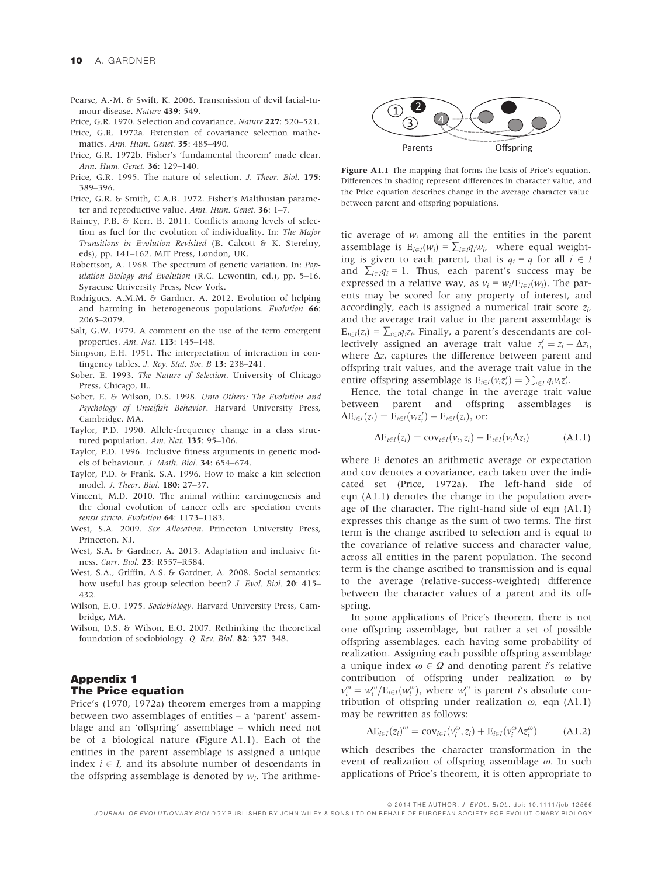Pearse, A.-M. & Swift, K. 2006. Transmission of devil facial-tumour disease. Nature 439: 549.

Price, G.R. 1970. Selection and covariance. Nature 227: 520–521.

- Price, G.R. 1972a. Extension of covariance selection mathematics. Ann. Hum. Genet. 35: 485–490.
- Price, G.R. 1972b. Fisher's 'fundamental theorem' made clear. Ann. Hum. Genet. 36: 129–140.
- Price, G.R. 1995. The nature of selection. J. Theor. Biol. 175: 389–396.
- Price, G.R. & Smith, C.A.B. 1972. Fisher's Malthusian parameter and reproductive value. Ann. Hum. Genet. 36: 1–7.
- Rainey, P.B. & Kerr, B. 2011. Conflicts among levels of selection as fuel for the evolution of individuality. In: The Major Transitions in Evolution Revisited (B. Calcott & K. Sterelny, eds), pp. 141–162. MIT Press, London, UK.
- Robertson, A. 1968. The spectrum of genetic variation. In: Population Biology and Evolution (R.C. Lewontin, ed.), pp. 5–16. Syracuse University Press, New York.
- Rodrigues, A.M.M. & Gardner, A. 2012. Evolution of helping and harming in heterogeneous populations. Evolution 66: 2065–2079.
- Salt, G.W. 1979. A comment on the use of the term emergent properties. Am. Nat. 113: 145–148.
- Simpson, E.H. 1951. The interpretation of interaction in contingency tables. J. Roy. Stat. Soc. B 13: 238-241.
- Sober, E. 1993. The Nature of Selection. University of Chicago Press, Chicago, IL.
- Sober, E. & Wilson, D.S. 1998. Unto Others: The Evolution and Psychology of Unselfish Behavior. Harvard University Press, Cambridge, MA.
- Taylor, P.D. 1990. Allele-frequency change in a class structured population. Am. Nat. 135: 95-106.
- Taylor, P.D. 1996. Inclusive fitness arguments in genetic models of behaviour. J. Math. Biol. 34: 654–674.
- Taylor, P.D. & Frank, S.A. 1996. How to make a kin selection model. J. Theor. Biol. 180: 27–37.
- Vincent, M.D. 2010. The animal within: carcinogenesis and the clonal evolution of cancer cells are speciation events sensu stricto. Evolution 64: 1173-1183.
- West, S.A. 2009. Sex Allocation. Princeton University Press, Princeton, NJ.
- West, S.A. & Gardner, A. 2013. Adaptation and inclusive fitness. Curr. Biol. 23: R557–R584.
- West, S.A., Griffin, A.S. & Gardner, A. 2008. Social semantics: how useful has group selection been? *J. Evol. Biol.* 20: 415– 432.
- Wilson, E.O. 1975. Sociobiology. Harvard University Press, Cambridge, MA.
- Wilson, D.S. & Wilson, E.O. 2007. Rethinking the theoretical foundation of sociobiology. Q. Rev. Biol. 82: 327–348.

# Appendix 1 The Price equation

Price's (1970, 1972a) theorem emerges from a mapping between two assemblages of entities – a 'parent' assemblage and an 'offspring' assemblage – which need not be of a biological nature (Figure A1.1). Each of the entities in the parent assemblage is assigned a unique index  $i \in I$ , and its absolute number of descendants in the offspring assemblage is denoted by  $w_i$ . The arithme-



Figure A1.1 The mapping that forms the basis of Price's equation. Differences in shading represent differences in character value, and the Price equation describes change in the average character value between parent and offspring populations.

tic average of  $w_i$  among all the entities in the parent assemblage is  $E_{i\in I}(w_i) = \sum_{i\in I} q_iw_i$ , where equal weighting is given to each parent, that is  $q_i = q$  for all  $i \in I$ and  $\sum_{i \in I} q_i = 1$ . Thus, each parent's success may be expressed in a relative way, as  $v_i = w_i / E_{i \in I}(w_i)$ . The parents may be scored for any property of interest, and accordingly, each is assigned a numerical trait score  $z_i$ , and the average trait value in the parent assemblage is  $E_{i\in I}(z_i) = \sum_{i\in I} q_i z_i$ . Finally, a parent's descendants are collectively assigned an average trait value  $z_i' = z_i + \Delta z_i$ ; where  $\Delta z_i$  captures the difference between parent and offspring trait values, and the average trait value in the entire offspring assemblage is  $E_{i \in I}(v_i z_i') = \sum_{i \in I} q_i v_i z_i'$ .

Hence, the total change in the average trait value between parent and offspring assemblages is  $\Delta E_{i \in I}(z_i) = E_{i \in I}(v_i z'_i) - E_{i \in I}(z_i)$ , or:

$$
\Delta E_{i\in I}(z_i) = \text{cov}_{i\in I}(v_i, z_i) + E_{i\in I}(v_i \Delta z_i)
$$
 (A1.1)

where E denotes an arithmetic average or expectation and cov denotes a covariance, each taken over the indicated set (Price, 1972a). The left-hand side of eqn (A1.1) denotes the change in the population average of the character. The right-hand side of eqn (A1.1) expresses this change as the sum of two terms. The first term is the change ascribed to selection and is equal to the covariance of relative success and character value, across all entities in the parent population. The second term is the change ascribed to transmission and is equal to the average (relative-success-weighted) difference between the character values of a parent and its offspring.

In some applications of Price's theorem, there is not one offspring assemblage, but rather a set of possible offspring assemblages, each having some probability of realization. Assigning each possible offspring assemblage a unique index  $\omega \in \Omega$  and denoting parent *i*'s relative contribution of offspring under realization  $\omega$  by  $v_i^{\omega} = w_i^{\omega}/E_{l \in I}(w_l^{\omega}),$  where  $w_i^{\omega}$  is parent *i*'s absolute contribution of offspring under realization  $\omega$ , eqn (A1.1) may be rewritten as follows:

$$
\Delta E_{i\in I}(z_i)^{\omega} = \text{cov}_{i\in I}(\nu_i^{\omega}, z_i) + E_{i\in I}(\nu_i^{\omega}\Delta z_i^{\omega})
$$
 (A1.2)

which describes the character transformation in the event of realization of offspring assemblage  $\omega$ . In such applications of Price's theorem, it is often appropriate to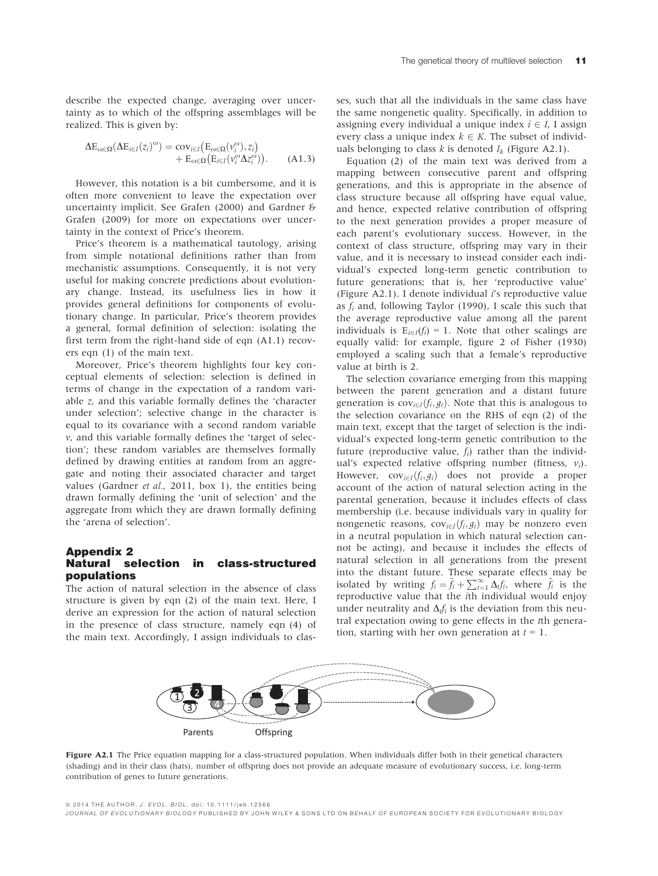describe the expected change, averaging over uncertainty as to which of the offspring assemblages will be realized. This is given by:

$$
\Delta E_{\omega \in \Omega} (\Delta E_{i \in I} (z_i)^{\omega}) = \text{cov}_{i \in I} (E_{\omega \in \Omega} (v_i^{\omega}), z_i) + E_{\omega \in \Omega} (E_{i \in I} (v_i^{\omega} \Delta z_i^{\omega})).
$$
 (A1.3)

However, this notation is a bit cumbersome, and it is often more convenient to leave the expectation over uncertainty implicit. See Grafen (2000) and Gardner & Grafen (2009) for more on expectations over uncertainty in the context of Price's theorem.

Price's theorem is a mathematical tautology, arising from simple notational definitions rather than from mechanistic assumptions. Consequently, it is not very useful for making concrete predictions about evolutionary change. Instead, its usefulness lies in how it provides general definitions for components of evolutionary change. In particular, Price's theorem provides a general, formal definition of selection: isolating the first term from the right-hand side of eqn (A1.1) recovers eqn (1) of the main text.

Moreover, Price's theorem highlights four key conceptual elements of selection: selection is defined in terms of change in the expectation of a random variable z, and this variable formally defines the 'character under selection'; selective change in the character is equal to its covariance with a second random variable  $\nu$ , and this variable formally defines the 'target of selection'; these random variables are themselves formally defined by drawing entities at random from an aggregate and noting their associated character and target values (Gardner et al., 2011, box 1), the entities being drawn formally defining the 'unit of selection' and the aggregate from which they are drawn formally defining the 'arena of selection'.

# Appendix 2 Natural selection in class-structured populations

The action of natural selection in the absence of class structure is given by eqn (2) of the main text. Here, I derive an expression for the action of natural selection in the presence of class structure, namely eqn (4) of the main text. Accordingly, I assign individuals to classes, such that all the individuals in the same class have the same nongenetic quality. Specifically, in addition to assigning every individual a unique index  $i \in I$ , I assign every class a unique index  $k \in K$ . The subset of individuals belonging to class k is denoted  $I_k$  (Figure A2.1).

Equation (2) of the main text was derived from a mapping between consecutive parent and offspring generations, and this is appropriate in the absence of class structure because all offspring have equal value, and hence, expected relative contribution of offspring to the next generation provides a proper measure of each parent's evolutionary success. However, in the context of class structure, offspring may vary in their value, and it is necessary to instead consider each individual's expected long-term genetic contribution to future generations; that is, her 'reproductive value' (Figure A2.1). I denote individual *i's* reproductive value as  $f_i$  and, following Taylor (1990), I scale this such that the average reproductive value among all the parent individuals is  $E_{i \in I}(f_i) = 1$ . Note that other scalings are equally valid: for example, figure 2 of Fisher (1930) employed a scaling such that a female's reproductive value at birth is 2.

The selection covariance emerging from this mapping between the parent generation and a distant future generation is  $cov_{i\in I}(f_i,g_i)$ . Note that this is analogous to the selection covariance on the RHS of eqn (2) of the main text, except that the target of selection is the individual's expected long-term genetic contribution to the future (reproductive value,  $f_i$ ) rather than the individual's expected relative offspring number (fitness,  $v_i$ ). However,  $cov_{i\in I}(f_i, g_i)$  does not provide a proper account of the action of natural selection acting in the parental generation, because it includes effects of class membership (i.e. because individuals vary in quality for nongenetic reasons, cov<sub>i∈I</sub> $(f_i, g_i)$  may be nonzero even in a neutral population in which natural selection cannot be acting), and because it includes the effects of natural selection in all generations from the present into the distant future. These separate effects may be isolated by writing  $f_i = \tilde{f}_i + \sum_{i=1}^{\infty} \Delta_i f_i$ , where  $\tilde{f}_i$  is the reproductive value that the ith individual would enjoy under neutrality and  $\Delta f_i$  is the deviation from this neutral expectation owing to gene effects in the tth generation, starting with her own generation at  $t = 1$ .



Figure A2.1 The Price equation mapping for a class-structured population. When individuals differ both in their genetical characters (shading) and in their class (hats), number of offspring does not provide an adequate measure of evolutionary success, i.e. long-term contribution of genes to future generations.

ª 2014 THE AUTHOR. J. EVOL. BIOL. doi: 10.1111/jeb.12566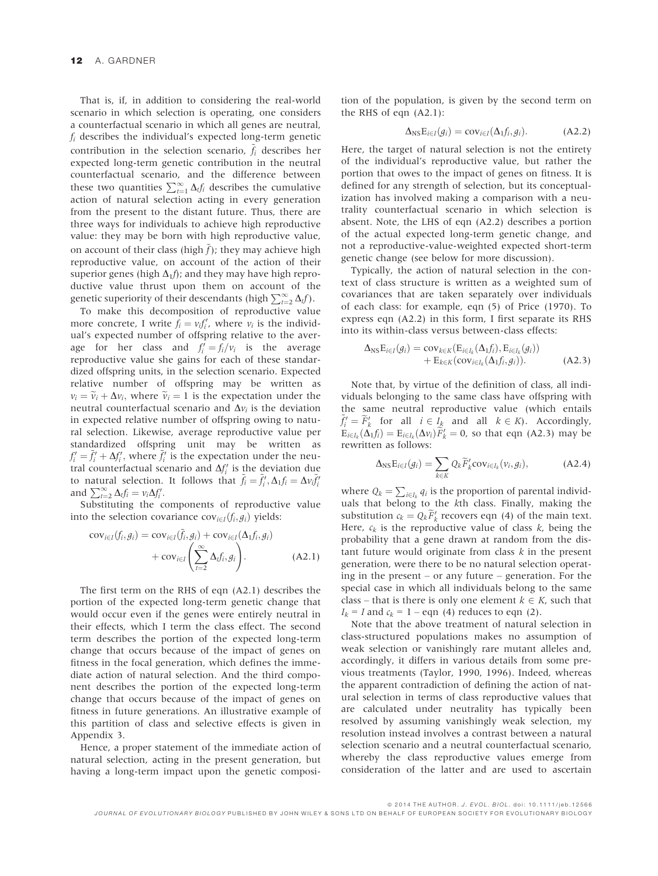That is, if, in addition to considering the real-world scenario in which selection is operating, one considers a counterfactual scenario in which all genes are neutral,  $f_i$  describes the individual's expected long-term genetic contribution in the selection scenario,  $\tilde{f}_i$  describes her expected long-term genetic contribution in the neutral counterfactual scenario, and the difference between these two quantities  $\sum_{t=1}^{\infty} \Delta_t f_i$  describes the cumulative action of natural selection acting in every generation from the present to the distant future. Thus, there are three ways for individuals to achieve high reproductive value: they may be born with high reproductive value, on account of their class (high  $\tilde{f}$ ); they may achieve high reproductive value, on account of the action of their superior genes (high  $\Delta_1 f$ ); and they may have high reproductive value thrust upon them on account of the genetic superiority of their descendants (high  $\sum_{t=2}^{\infty} \Delta_t f$ ).

To make this decomposition of reproductive value more concrete, I write  $f_i = v_i f'_i$ , where  $v_i$  is the individual's expected number of offspring relative to the average for her class and  $f'_i = f_i/v_i$  is the average reproductive value she gains for each of these standardized offspring units, in the selection scenario. Expected relative number of offspring may be written as  $v_i = \tilde{v}_i + \Delta v_i$ , where  $\tilde{v}_i = 1$  is the expectation under the neutral counterfactual scenario and  $\Delta v_i$  is the deviation in expected relative number of offspring owing to natural selection. Likewise, average reproductive value per standardized offspring unit may be written as  $f'_i = \tilde{f}'_i + \Delta f'_i$ , where  $\tilde{f}'_i$  is the expectation under the neutral counterfactual scenario and  $\Delta f_i'$  is the deviation due to natural selection. It follows that  $\tilde{f}_i = \tilde{f}_i'$ ,  $\Delta_1 f_i = \Delta v_i \tilde{f}_i'$ and  $\sum_{t=2}^{\infty} \Delta_t f_i = v_i \Delta f'_i$ .

Substituting the components of reproductive value into the selection covariance  $cov_{i\in I}(f_i, g_i)$  yields:

$$
cov_{i\in I}(f_i, g_i) = cov_{i\in I}(\tilde{f}_i, g_i) + cov_{i\in I}(\Delta_1 f_i, g_i) + cov_{i\in I}(\sum_{t=2}^{\infty} \Delta_t f_i, g_i).
$$
 (A2.1)

The first term on the RHS of eqn (A2.1) describes the portion of the expected long-term genetic change that would occur even if the genes were entirely neutral in their effects, which I term the class effect. The second term describes the portion of the expected long-term change that occurs because of the impact of genes on fitness in the focal generation, which defines the immediate action of natural selection. And the third component describes the portion of the expected long-term change that occurs because of the impact of genes on fitness in future generations. An illustrative example of this partition of class and selective effects is given in Appendix 3.

Hence, a proper statement of the immediate action of natural selection, acting in the present generation, but having a long-term impact upon the genetic composi-

tion of the population, is given by the second term on the RHS of eqn (A2.1):

$$
\Delta_{\text{NS}} E_{i \in I}(g_i) = \text{cov}_{i \in I}(\Delta_1 f_i, g_i). \tag{A2.2}
$$

Here, the target of natural selection is not the entirety of the individual's reproductive value, but rather the portion that owes to the impact of genes on fitness. It is defined for any strength of selection, but its conceptualization has involved making a comparison with a neutrality counterfactual scenario in which selection is absent. Note, the LHS of eqn (A2.2) describes a portion of the actual expected long-term genetic change, and not a reproductive-value-weighted expected short-term genetic change (see below for more discussion).

Typically, the action of natural selection in the context of class structure is written as a weighted sum of covariances that are taken separately over individuals of each class: for example, eqn (5) of Price (1970). To express eqn (A2.2) in this form, I first separate its RHS into its within-class versus between-class effects:

$$
\Delta_{\text{NS}}\mathbf{E}_{i\in I}(g_i) = \text{cov}_{k\in K}(\mathbf{E}_{i\in I_k}(\Delta_1 f_i), \mathbf{E}_{i\in I_k}(g_i)) \n+ \mathbf{E}_{k\in K}(\text{cov}_{i\in I_k}(\Delta_1 f_i, g_i)).
$$
\n(A2.3)

Note that, by virtue of the definition of class, all individuals belonging to the same class have offspring with the same neutral reproductive value (which entails  $\tilde{f}'_i = \tilde{F}'_k$  for all  $i \in I_k$  and all  $k \in K$ ). Accordingly,  $E_{i\in I_k}(\Delta_1 f_i) = E_{i\in I_k}(\Delta v_i) F'_k = 0$ , so that eqn (A2.3) may be rewritten as follows:

$$
\Delta_{\text{NS}}\mathbf{E}_{i\in I}(g_i) = \sum_{k\in K} Q_k \widetilde{F}_k' \text{cov}_{i\in I_k}(v_i, g_i), \tag{A2.4}
$$

where  $Q_k = \sum_{i \in I_k} q_i$  is the proportion of parental individuals that belong to the kth class. Finally, making the substitution  $c_k = Q_k F'_k$  recovers eqn (4) of the main text. Here,  $c_k$  is the reproductive value of class  $k$ , being the probability that a gene drawn at random from the distant future would originate from class  $k$  in the present generation, were there to be no natural selection operating in the present – or any future – generation. For the special case in which all individuals belong to the same class – that is there is only one element  $k \in K$ , such that  $I_k = I$  and  $c_k = 1 -$  eqn (4) reduces to eqn (2).

Note that the above treatment of natural selection in class-structured populations makes no assumption of weak selection or vanishingly rare mutant alleles and, accordingly, it differs in various details from some previous treatments (Taylor, 1990, 1996). Indeed, whereas the apparent contradiction of defining the action of natural selection in terms of class reproductive values that are calculated under neutrality has typically been resolved by assuming vanishingly weak selection, my resolution instead involves a contrast between a natural selection scenario and a neutral counterfactual scenario, whereby the class reproductive values emerge from consideration of the latter and are used to ascertain

ª 2014 THE AUTHOR. J. EVOL. BIOL. doi: 10.1111/jeb.12566

JOURNAL OF EVOLUTIONARY BIOLOGY PUBLISHED BY JOHN WILEY & SONS LTD ON BEHALF OF EUROPEAN SOCIETY FOR EVOLUTIONARY BIOLOGY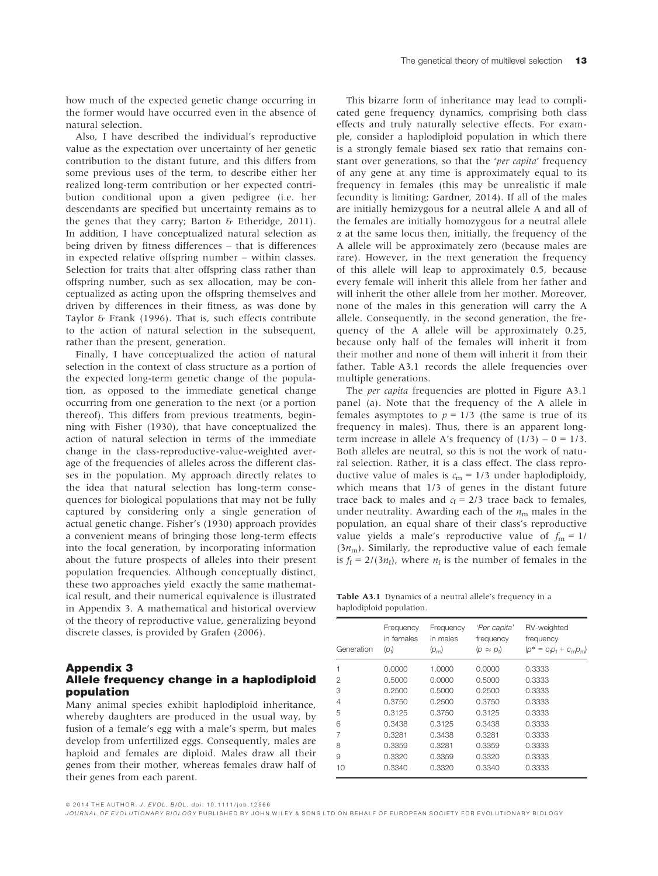how much of the expected genetic change occurring in the former would have occurred even in the absence of natural selection.

Also, I have described the individual's reproductive value as the expectation over uncertainty of her genetic contribution to the distant future, and this differs from some previous uses of the term, to describe either her realized long-term contribution or her expected contribution conditional upon a given pedigree (i.e. her descendants are specified but uncertainty remains as to the genes that they carry; Barton & Etheridge, 2011). In addition, I have conceptualized natural selection as being driven by fitness differences – that is differences in expected relative offspring number – within classes. Selection for traits that alter offspring class rather than offspring number, such as sex allocation, may be conceptualized as acting upon the offspring themselves and driven by differences in their fitness, as was done by Taylor & Frank (1996). That is, such effects contribute to the action of natural selection in the subsequent, rather than the present, generation.

Finally, I have conceptualized the action of natural selection in the context of class structure as a portion of the expected long-term genetic change of the population, as opposed to the immediate genetical change occurring from one generation to the next (or a portion thereof). This differs from previous treatments, beginning with Fisher (1930), that have conceptualized the action of natural selection in terms of the immediate change in the class-reproductive-value-weighted average of the frequencies of alleles across the different classes in the population. My approach directly relates to the idea that natural selection has long-term consequences for biological populations that may not be fully captured by considering only a single generation of actual genetic change. Fisher's (1930) approach provides a convenient means of bringing those long-term effects into the focal generation, by incorporating information about the future prospects of alleles into their present population frequencies. Although conceptually distinct, these two approaches yield exactly the same mathematical result, and their numerical equivalence is illustrated in Appendix 3. A mathematical and historical overview of the theory of reproductive value, generalizing beyond discrete classes, is provided by Grafen (2006).

## Appendix 3 Allele frequency change in a haplodiploid population

Many animal species exhibit haplodiploid inheritance, whereby daughters are produced in the usual way, by fusion of a female's egg with a male's sperm, but males develop from unfertilized eggs. Consequently, males are haploid and females are diploid. Males draw all their genes from their mother, whereas females draw half of their genes from each parent.

This bizarre form of inheritance may lead to complicated gene frequency dynamics, comprising both class effects and truly naturally selective effects. For example, consider a haplodiploid population in which there is a strongly female biased sex ratio that remains constant over generations, so that the 'per capita' frequency of any gene at any time is approximately equal to its frequency in females (this may be unrealistic if male fecundity is limiting; Gardner, 2014). If all of the males are initially hemizygous for a neutral allele A and all of the females are initially homozygous for a neutral allele  $\alpha$  at the same locus then, initially, the frequency of the A allele will be approximately zero (because males are rare). However, in the next generation the frequency of this allele will leap to approximately 0.5, because every female will inherit this allele from her father and will inherit the other allele from her mother. Moreover, none of the males in this generation will carry the A allele. Consequently, in the second generation, the frequency of the A allele will be approximately 0.25, because only half of the females will inherit it from their mother and none of them will inherit it from their father. Table A3.1 records the allele frequencies over multiple generations.

The per capita frequencies are plotted in Figure A3.1 panel (a). Note that the frequency of the A allele in females asymptotes to  $p = 1/3$  (the same is true of its frequency in males). Thus, there is an apparent longterm increase in allele A's frequency of  $(1/3) - 0 = 1/3$ . Both alleles are neutral, so this is not the work of natural selection. Rather, it is a class effect. The class reproductive value of males is  $c_m = 1/3$  under haplodiploidy, which means that 1/3 of genes in the distant future trace back to males and  $c_f = 2/3$  trace back to females, under neutrality. Awarding each of the  $n<sub>m</sub>$  males in the population, an equal share of their class's reproductive value yields a male's reproductive value of  $f_m = 1/$  $(3n<sub>m</sub>)$ . Similarly, the reproductive value of each female is  $f_f = 2/(3n_f)$ , where  $n_f$  is the number of females in the

Table A3.1 Dynamics of a neutral allele's frequency in a haplodiploid population.

| Generation     | Frequency<br>in females<br>(p <sub>f</sub> ) | Frequency<br>in males<br>$(p_m)$ | 'Per capita'<br>frequency<br>$(p \approx p_i)$ | RV-weighted<br>frequency<br>$(p^* = c_0 p_f + c_m p_m)$ |
|----------------|----------------------------------------------|----------------------------------|------------------------------------------------|---------------------------------------------------------|
| 1              | 0.0000                                       | 1.0000                           | 0.0000                                         | 0.3333                                                  |
| $\mathfrak{p}$ | 0.5000                                       | 0.0000                           | 0.5000                                         | 0.3333                                                  |
| 3              | 0.2500                                       | 0.5000                           | 0.2500                                         | 0.3333                                                  |
| $\overline{4}$ | 0.3750                                       | 0.2500                           | 0.3750                                         | 0.3333                                                  |
| 5              | 0.3125                                       | 0.3750                           | 0.3125                                         | 0.3333                                                  |
| 6              | 0.3438                                       | 0.3125                           | 0.3438                                         | 0.3333                                                  |
| 7              | 0.3281                                       | 0.3438                           | 0.3281                                         | 0.3333                                                  |
| 8              | 0.3359                                       | 0.3281                           | 0.3359                                         | 0.3333                                                  |
| 9              | 0.3320                                       | 0.3359                           | 0.3320                                         | 0.3333                                                  |
| 10             | 0.3340                                       | 0.3320                           | 0.3340                                         | 0.3333                                                  |

ª 2014 THE AUTHOR. J. EVOL. BIOL. doi: 10.1111/jeb.12566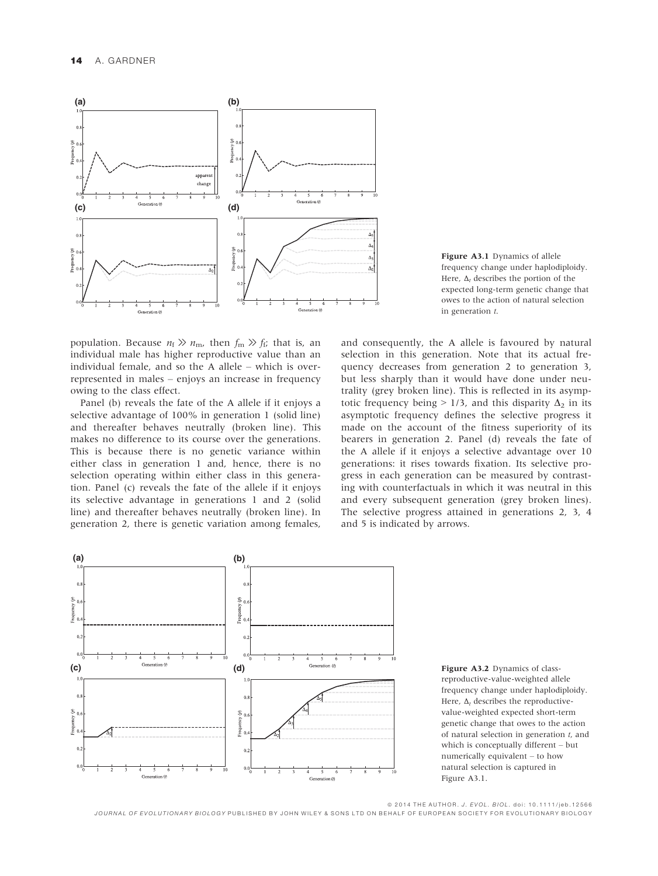

population. Because  $n_f \gg n_m$ , then  $f_m \gg f_f$ ; that is, an individual male has higher reproductive value than an individual female, and so the A allele – which is overrepresented in males – enjoys an increase in frequency owing to the class effect.

Panel (b) reveals the fate of the A allele if it enjoys a selective advantage of 100% in generation 1 (solid line) and thereafter behaves neutrally (broken line). This makes no difference to its course over the generations. This is because there is no genetic variance within either class in generation 1 and, hence, there is no selection operating within either class in this generation. Panel (c) reveals the fate of the allele if it enjoys its selective advantage in generations 1 and 2 (solid line) and thereafter behaves neutrally (broken line). In generation 2, there is genetic variation among females,



and consequently, the A allele is favoured by natural selection in this generation. Note that its actual frequency decreases from generation 2 to generation 3, but less sharply than it would have done under neutrality (grey broken line). This is reflected in its asymptotic frequency being  $> 1/3$ , and this disparity  $\Delta_2$  in its asymptotic frequency defines the selective progress it made on the account of the fitness superiority of its bearers in generation 2. Panel (d) reveals the fate of the A allele if it enjoys a selective advantage over 10 generations: it rises towards fixation. Its selective progress in each generation can be measured by contrasting with counterfactuals in which it was neutral in this and every subsequent generation (grey broken lines). The selective progress attained in generations 2, 3, 4 and 5 is indicated by arrows.





ª 2014 THE AUTHOR. J. EVOL. BIOL. doi: 10.1111/jeb.12566